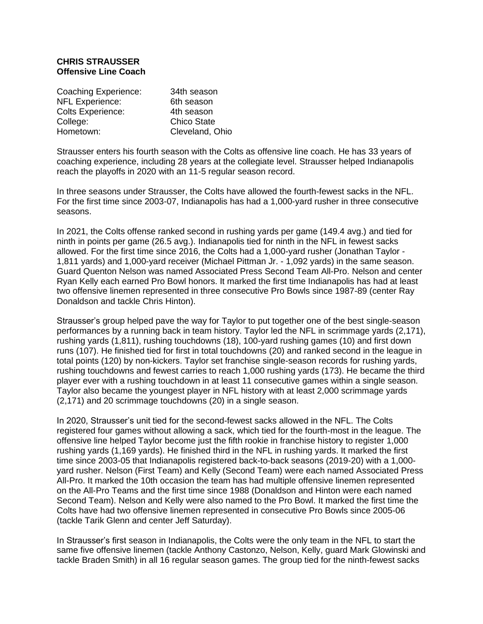## **CHRIS STRAUSSER Offensive Line Coach**

| Coaching Experience:     | 34th season        |
|--------------------------|--------------------|
| <b>NFL Experience:</b>   | 6th season         |
| <b>Colts Experience:</b> | 4th season         |
| College:                 | <b>Chico State</b> |
| Hometown:                | Cleveland, Ohio    |

Strausser enters his fourth season with the Colts as offensive line coach. He has 33 years of coaching experience, including 28 years at the collegiate level. Strausser helped Indianapolis reach the playoffs in 2020 with an 11-5 regular season record.

In three seasons under Strausser, the Colts have allowed the fourth-fewest sacks in the NFL. For the first time since 2003-07, Indianapolis has had a 1,000-yard rusher in three consecutive seasons.

In 2021, the Colts offense ranked second in rushing yards per game (149.4 avg.) and tied for ninth in points per game (26.5 avg.). Indianapolis tied for ninth in the NFL in fewest sacks allowed. For the first time since 2016, the Colts had a 1,000-yard rusher (Jonathan Taylor - 1,811 yards) and 1,000-yard receiver (Michael Pittman Jr. - 1,092 yards) in the same season. Guard Quenton Nelson was named Associated Press Second Team All-Pro. Nelson and center Ryan Kelly each earned Pro Bowl honors. It marked the first time Indianapolis has had at least two offensive linemen represented in three consecutive Pro Bowls since 1987-89 (center Ray Donaldson and tackle Chris Hinton).

Strausser's group helped pave the way for Taylor to put together one of the best single-season performances by a running back in team history. Taylor led the NFL in scrimmage yards (2,171), rushing yards (1,811), rushing touchdowns (18), 100-yard rushing games (10) and first down runs (107). He finished tied for first in total touchdowns (20) and ranked second in the league in total points (120) by non-kickers. Taylor set franchise single-season records for rushing yards, rushing touchdowns and fewest carries to reach 1,000 rushing yards (173). He became the third player ever with a rushing touchdown in at least 11 consecutive games within a single season. Taylor also became the youngest player in NFL history with at least 2,000 scrimmage yards (2,171) and 20 scrimmage touchdowns (20) in a single season.

In 2020, Strausser's unit tied for the second-fewest sacks allowed in the NFL. The Colts registered four games without allowing a sack, which tied for the fourth-most in the league. The offensive line helped Taylor become just the fifth rookie in franchise history to register 1,000 rushing yards (1,169 yards). He finished third in the NFL in rushing yards. It marked the first time since 2003-05 that Indianapolis registered back-to-back seasons (2019-20) with a 1,000 yard rusher. Nelson (First Team) and Kelly (Second Team) were each named Associated Press All-Pro. It marked the 10th occasion the team has had multiple offensive linemen represented on the All-Pro Teams and the first time since 1988 (Donaldson and Hinton were each named Second Team). Nelson and Kelly were also named to the Pro Bowl. It marked the first time the Colts have had two offensive linemen represented in consecutive Pro Bowls since 2005-06 (tackle Tarik Glenn and center Jeff Saturday).

In Strausser's first season in Indianapolis, the Colts were the only team in the NFL to start the same five offensive linemen (tackle Anthony Castonzo, Nelson, Kelly, guard Mark Glowinski and tackle Braden Smith) in all 16 regular season games. The group tied for the ninth-fewest sacks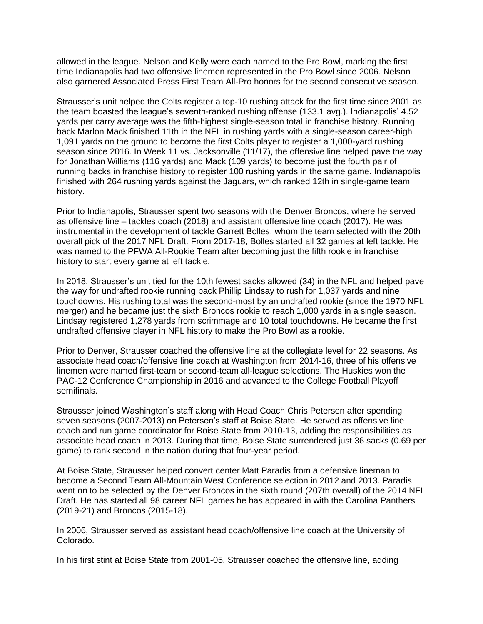allowed in the league. Nelson and Kelly were each named to the Pro Bowl, marking the first time Indianapolis had two offensive linemen represented in the Pro Bowl since 2006. Nelson also garnered Associated Press First Team All-Pro honors for the second consecutive season.

Strausser's unit helped the Colts register a top-10 rushing attack for the first time since 2001 as the team boasted the league's seventh-ranked rushing offense (133.1 avg.). Indianapolis' 4.52 yards per carry average was the fifth-highest single-season total in franchise history. Running back Marlon Mack finished 11th in the NFL in rushing yards with a single-season career-high 1,091 yards on the ground to become the first Colts player to register a 1,000-yard rushing season since 2016. In Week 11 vs. Jacksonville (11/17), the offensive line helped pave the way for Jonathan Williams (116 yards) and Mack (109 yards) to become just the fourth pair of running backs in franchise history to register 100 rushing yards in the same game. Indianapolis finished with 264 rushing yards against the Jaguars, which ranked 12th in single-game team history.

Prior to Indianapolis, Strausser spent two seasons with the Denver Broncos, where he served as offensive line – tackles coach (2018) and assistant offensive line coach (2017). He was instrumental in the development of tackle Garrett Bolles, whom the team selected with the 20th overall pick of the 2017 NFL Draft. From 2017-18, Bolles started all 32 games at left tackle. He was named to the PFWA All-Rookie Team after becoming just the fifth rookie in franchise history to start every game at left tackle.

In 2018, Strausser's unit tied for the 10th fewest sacks allowed (34) in the NFL and helped pave the way for undrafted rookie running back Phillip Lindsay to rush for 1,037 yards and nine touchdowns. His rushing total was the second-most by an undrafted rookie (since the 1970 NFL merger) and he became just the sixth Broncos rookie to reach 1,000 yards in a single season. Lindsay registered 1,278 yards from scrimmage and 10 total touchdowns. He became the first undrafted offensive player in NFL history to make the Pro Bowl as a rookie.

Prior to Denver, Strausser coached the offensive line at the collegiate level for 22 seasons. As associate head coach/offensive line coach at Washington from 2014-16, three of his offensive linemen were named first-team or second-team all-league selections. The Huskies won the PAC-12 Conference Championship in 2016 and advanced to the College Football Playoff semifinals.

Strausser joined Washington's staff along with Head Coach Chris Petersen after spending seven seasons (2007-2013) on Petersen's staff at Boise State. He served as offensive line coach and run game coordinator for Boise State from 2010-13, adding the responsibilities as associate head coach in 2013. During that time, Boise State surrendered just 36 sacks (0.69 per game) to rank second in the nation during that four-year period.

At Boise State, Strausser helped convert center Matt Paradis from a defensive lineman to become a Second Team All-Mountain West Conference selection in 2012 and 2013. Paradis went on to be selected by the Denver Broncos in the sixth round (207th overall) of the 2014 NFL Draft. He has started all 98 career NFL games he has appeared in with the Carolina Panthers (2019-21) and Broncos (2015-18).

In 2006, Strausser served as assistant head coach/offensive line coach at the University of Colorado.

In his first stint at Boise State from 2001-05, Strausser coached the offensive line, adding